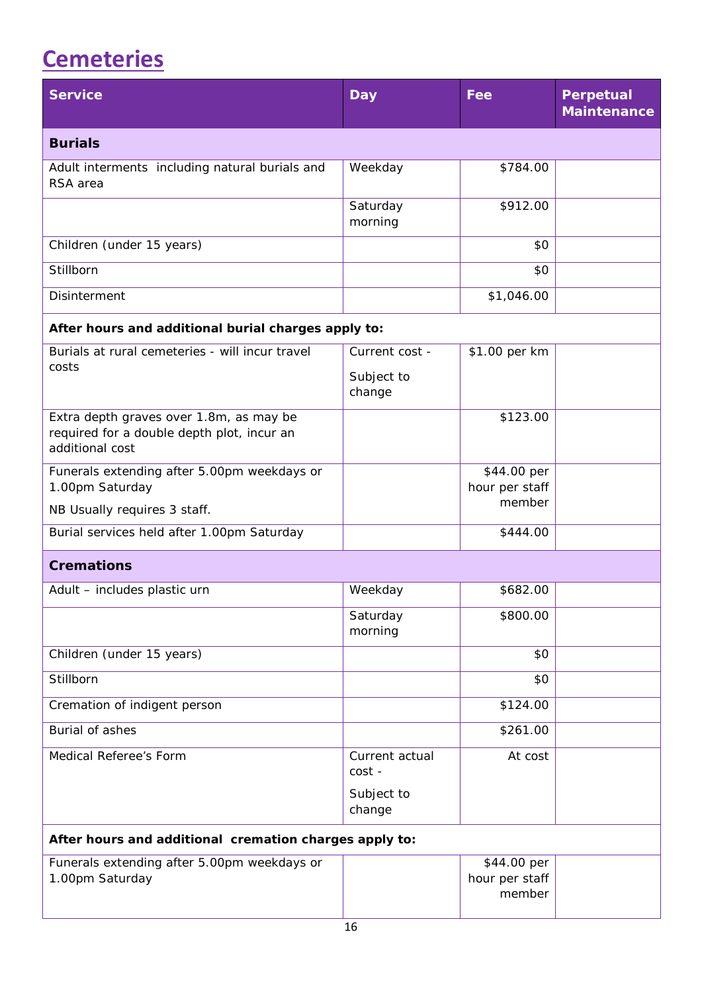## <span id="page-0-0"></span>**[Cemeteries](#page-0-0)**

| <b>Service</b>                                                                                           | <b>Day</b>                             | Fee                                     | <b>Perpetual</b><br><b>Maintenance</b> |  |
|----------------------------------------------------------------------------------------------------------|----------------------------------------|-----------------------------------------|----------------------------------------|--|
| <b>Burials</b>                                                                                           |                                        |                                         |                                        |  |
| Adult interments including natural burials and<br>RSA area                                               | Weekday                                | \$784.00                                |                                        |  |
|                                                                                                          | Saturday<br>morning                    | \$912.00                                |                                        |  |
| Children (under 15 years)                                                                                |                                        | \$0                                     |                                        |  |
| Stillborn                                                                                                |                                        | \$0                                     |                                        |  |
| <b>Disinterment</b>                                                                                      |                                        | \$1,046.00                              |                                        |  |
| After hours and additional burial charges apply to:                                                      |                                        |                                         |                                        |  |
| Burials at rural cemeteries - will incur travel<br>costs                                                 | Current cost -<br>Subject to<br>change | \$1.00 per km                           |                                        |  |
| Extra depth graves over 1.8m, as may be<br>required for a double depth plot, incur an<br>additional cost |                                        | \$123.00                                |                                        |  |
| Funerals extending after 5.00pm weekdays or<br>1.00pm Saturday                                           |                                        | \$44.00 per<br>hour per staff           |                                        |  |
| NB Usually requires 3 staff.                                                                             |                                        | member                                  |                                        |  |
| Burial services held after 1.00pm Saturday                                                               |                                        | \$444.00                                |                                        |  |
| <b>Cremations</b>                                                                                        |                                        |                                         |                                        |  |
| Adult - includes plastic urn                                                                             | Weekday                                | \$682.00                                |                                        |  |
|                                                                                                          | Saturday<br>morning                    | \$800.00                                |                                        |  |
| Children (under 15 years)                                                                                |                                        | \$0                                     |                                        |  |
| Stillborn                                                                                                |                                        | \$0                                     |                                        |  |
| Cremation of indigent person                                                                             |                                        | \$124.00                                |                                        |  |
| Burial of ashes                                                                                          |                                        | \$261.00                                |                                        |  |
| Medical Referee's Form                                                                                   | Current actual<br>cost -               | At cost                                 |                                        |  |
|                                                                                                          | Subject to<br>change                   |                                         |                                        |  |
| After hours and additional cremation charges apply to:                                                   |                                        |                                         |                                        |  |
| Funerals extending after 5.00pm weekdays or<br>1.00pm Saturday                                           |                                        | \$44.00 per<br>hour per staff<br>member |                                        |  |